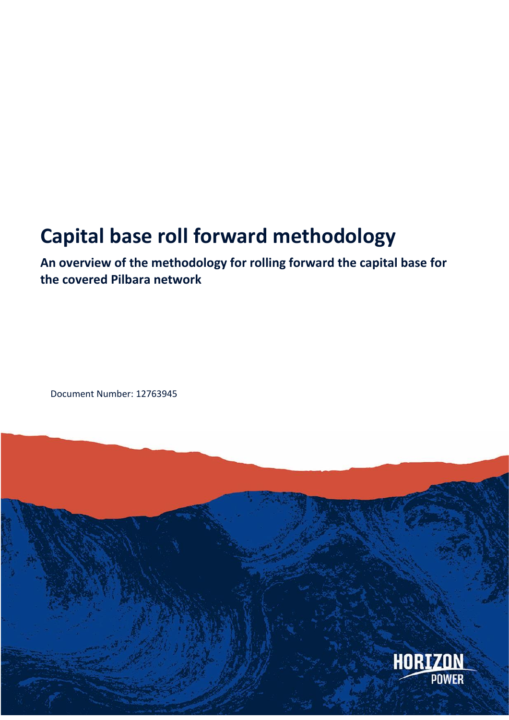# **Capital base roll forward methodology**

**An overview of the methodology for rolling forward the capital base for the covered Pilbara network**

Document Number: 12763945

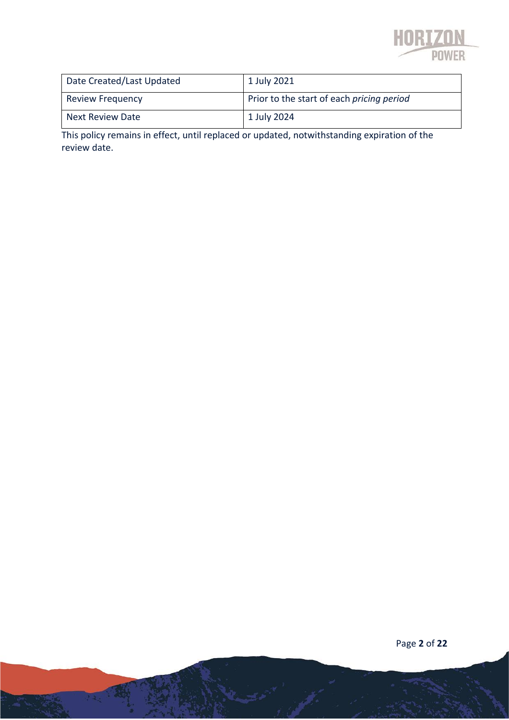

| Date Created/Last Updated | 1 July 2021                               |
|---------------------------|-------------------------------------------|
| <b>Review Frequency</b>   | Prior to the start of each pricing period |
| <b>Next Review Date</b>   | 1 July 2024                               |

This policy remains in effect, until replaced or updated, notwithstanding expiration of the review date.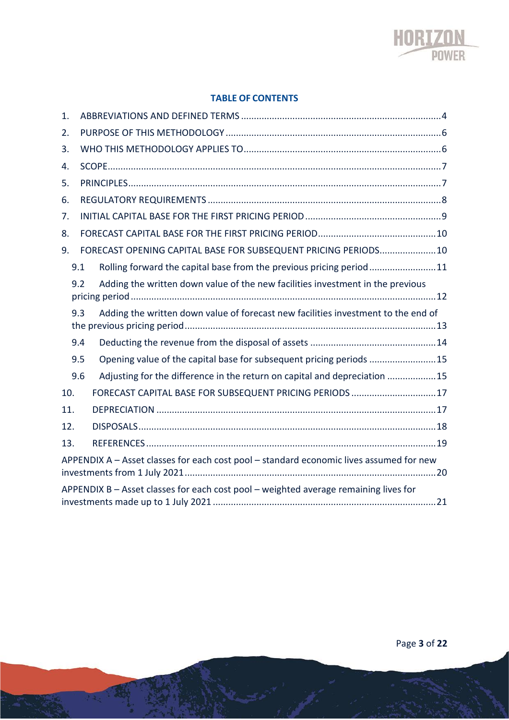

#### **TABLE OF CONTENTS**

| 1.  |     |                                                                                         |  |  |  |
|-----|-----|-----------------------------------------------------------------------------------------|--|--|--|
| 2.  |     |                                                                                         |  |  |  |
| 3.  |     |                                                                                         |  |  |  |
| 4.  |     |                                                                                         |  |  |  |
| 5.  |     |                                                                                         |  |  |  |
| 6.  |     |                                                                                         |  |  |  |
| 7.  |     |                                                                                         |  |  |  |
| 8.  |     |                                                                                         |  |  |  |
| 9.  |     | FORECAST OPENING CAPITAL BASE FOR SUBSEQUENT PRICING PERIODS10                          |  |  |  |
|     | 9.1 | Rolling forward the capital base from the previous pricing period11                     |  |  |  |
|     | 9.2 | Adding the written down value of the new facilities investment in the previous          |  |  |  |
|     | 9.3 | Adding the written down value of forecast new facilities investment to the end of       |  |  |  |
|     | 9.4 |                                                                                         |  |  |  |
|     | 9.5 | Opening value of the capital base for subsequent pricing periods 15                     |  |  |  |
|     | 9.6 | Adjusting for the difference in the return on capital and depreciation 15               |  |  |  |
| 10. |     | FORECAST CAPITAL BASE FOR SUBSEQUENT PRICING PERIODS 17                                 |  |  |  |
| 11. |     |                                                                                         |  |  |  |
| 12. |     |                                                                                         |  |  |  |
| 13. |     |                                                                                         |  |  |  |
|     |     | APPENDIX A - Asset classes for each cost pool - standard economic lives assumed for new |  |  |  |
|     |     | APPENDIX B - Asset classes for each cost pool - weighted average remaining lives for    |  |  |  |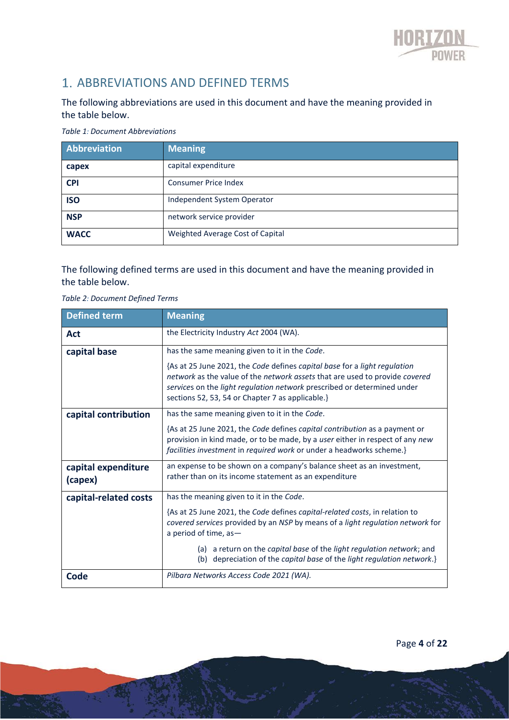

## 1. ABBREVIATIONS AND DEFINED TERMS

#### The following abbreviations are used in this document and have the meaning provided in the table below.

*Table 1: Document Abbreviations*

| Abbreviation | Meaning                          |
|--------------|----------------------------------|
| capex        | capital expenditure              |
| <b>CPI</b>   | <b>Consumer Price Index</b>      |
| <b>ISO</b>   | Independent System Operator      |
| <b>NSP</b>   | network service provider         |
| <b>WACC</b>  | Weighted Average Cost of Capital |

The following defined terms are used in this document and have the meaning provided in the table below.

|  |  | Table 2: Document Defined Terms |  |  |
|--|--|---------------------------------|--|--|
|--|--|---------------------------------|--|--|

| <b>Defined term</b>            | <b>Meaning</b>                                                                                                                                                                                                                      |
|--------------------------------|-------------------------------------------------------------------------------------------------------------------------------------------------------------------------------------------------------------------------------------|
| Act                            | the Electricity Industry Act 2004 (WA).                                                                                                                                                                                             |
| capital base                   | has the same meaning given to it in the Code.<br>{As at 25 June 2021, the Code defines capital base for a light regulation                                                                                                          |
|                                | network as the value of the network assets that are used to provide covered<br>services on the light regulation network prescribed or determined under<br>sections 52, 53, 54 or Chapter 7 as applicable.}                          |
| capital contribution           | has the same meaning given to it in the Code.                                                                                                                                                                                       |
|                                | {As at 25 June 2021, the Code defines capital contribution as a payment or<br>provision in kind made, or to be made, by a user either in respect of any new<br>facilities investment in required work or under a headworks scheme.} |
| capital expenditure<br>(capex) | an expense to be shown on a company's balance sheet as an investment,<br>rather than on its income statement as an expenditure                                                                                                      |
| capital-related costs          | has the meaning given to it in the Code.                                                                                                                                                                                            |
|                                | {As at 25 June 2021, the Code defines capital-related costs, in relation to<br>covered services provided by an NSP by means of a light regulation network for<br>a period of time, as-                                              |
|                                | (a) a return on the capital base of the light regulation network; and<br>depreciation of the capital base of the light regulation network.}<br>(b)                                                                                  |
| Code                           | Pilbara Networks Access Code 2021 (WA).                                                                                                                                                                                             |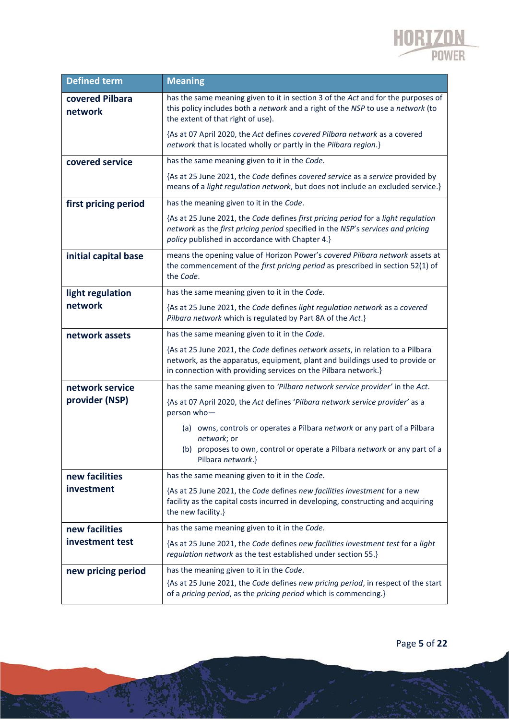

| <b>Defined term</b>        | <b>Meaning</b>                                                                                                                                                                                                                   |
|----------------------------|----------------------------------------------------------------------------------------------------------------------------------------------------------------------------------------------------------------------------------|
| covered Pilbara<br>network | has the same meaning given to it in section 3 of the Act and for the purposes of<br>this policy includes both a network and a right of the NSP to use a network (to<br>the extent of that right of use).                         |
|                            | {As at 07 April 2020, the Act defines covered Pilbara network as a covered<br>network that is located wholly or partly in the Pilbara region.}                                                                                   |
| covered service            | has the same meaning given to it in the Code.                                                                                                                                                                                    |
|                            | {As at 25 June 2021, the Code defines covered service as a service provided by<br>means of a light regulation network, but does not include an excluded service.}                                                                |
| first pricing period       | has the meaning given to it in the Code.                                                                                                                                                                                         |
|                            | {As at 25 June 2021, the Code defines first pricing period for a light regulation<br>network as the first pricing period specified in the NSP's services and pricing<br>policy published in accordance with Chapter 4.}          |
| initial capital base       | means the opening value of Horizon Power's covered Pilbara network assets at<br>the commencement of the first pricing period as prescribed in section 52(1) of<br>the Code.                                                      |
| light regulation           | has the same meaning given to it in the Code.                                                                                                                                                                                    |
| network                    | {As at 25 June 2021, the Code defines light regulation network as a covered<br>Pilbara network which is regulated by Part 8A of the Act.}                                                                                        |
| network assets             | has the same meaning given to it in the Code.                                                                                                                                                                                    |
|                            | {As at 25 June 2021, the Code defines network assets, in relation to a Pilbara<br>network, as the apparatus, equipment, plant and buildings used to provide or<br>in connection with providing services on the Pilbara network.} |
| network service            | has the same meaning given to 'Pilbara network service provider' in the Act.                                                                                                                                                     |
| provider (NSP)             | {As at 07 April 2020, the Act defines 'Pilbara network service provider' as a<br>person who-                                                                                                                                     |
|                            | (a) owns, controls or operates a Pilbara network or any part of a Pilbara<br>network; or<br>(b) proposes to own, control or operate a Pilbara network or any part of a<br>Pilbara network.}                                      |
| new facilities             | has the same meaning given to it in the Code.                                                                                                                                                                                    |
| investment                 | {As at 25 June 2021, the Code defines new facilities investment for a new<br>facility as the capital costs incurred in developing, constructing and acquiring<br>the new facility.}                                              |
| new facilities             | has the same meaning given to it in the Code.                                                                                                                                                                                    |
| investment test            | {As at 25 June 2021, the Code defines new facilities investment test for a light<br>regulation network as the test established under section 55.}                                                                                |
| new pricing period         | has the meaning given to it in the Code.                                                                                                                                                                                         |
|                            | {As at 25 June 2021, the Code defines new pricing period, in respect of the start<br>of a pricing period, as the pricing period which is commencing.}                                                                            |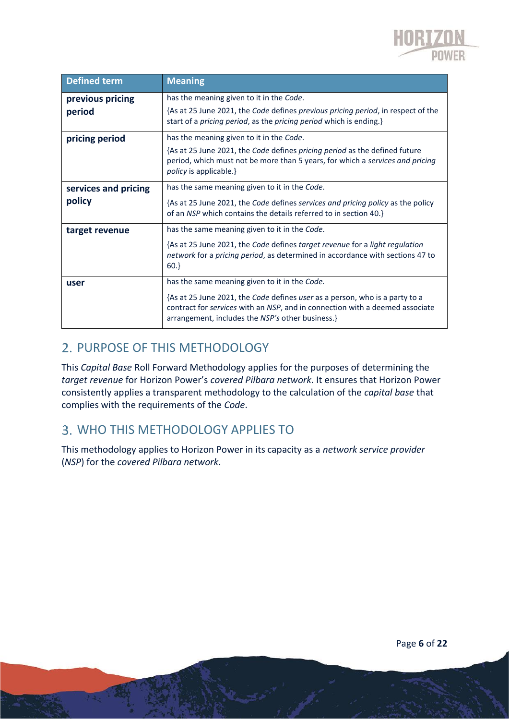

| Defined term                   | <b>Meaning</b>                                                                                                                                                                                                                                                   |
|--------------------------------|------------------------------------------------------------------------------------------------------------------------------------------------------------------------------------------------------------------------------------------------------------------|
| previous pricing<br>period     | has the meaning given to it in the Code.<br>{As at 25 June 2021, the Code defines previous pricing period, in respect of the<br>start of a pricing period, as the pricing period which is ending.}                                                               |
| pricing period                 | has the meaning given to it in the Code.<br>{As at 25 June 2021, the Code defines pricing period as the defined future<br>period, which must not be more than 5 years, for which a <i>services and pricing</i><br><i>policy</i> is applicable.}                  |
| services and pricing<br>policy | has the same meaning given to it in the Code.<br>{As at 25 June 2021, the Code defines services and pricing policy as the policy<br>of an NSP which contains the details referred to in section 40.}                                                             |
| target revenue                 | has the same meaning given to it in the Code.<br>{As at 25 June 2021, the Code defines target revenue for a light regulation<br>network for a pricing period, as determined in accordance with sections 47 to<br>$60.\}$                                         |
| user                           | has the same meaning given to it in the Code.<br>{As at 25 June 2021, the Code defines user as a person, who is a party to a<br>contract for services with an NSP, and in connection with a deemed associate<br>arrangement, includes the NSP's other business.} |

## 2. PURPOSE OF THIS METHODOLOGY

This *Capital Base* Roll Forward Methodology applies for the purposes of determining the *target revenue* for Horizon Power's *covered Pilbara network*. It ensures that Horizon Power consistently applies a transparent methodology to the calculation of the *capital base* that complies with the requirements of the *Code*.

## WHO THIS METHODOLOGY APPLIES TO

This methodology applies to Horizon Power in its capacity as a *network service provider* (*NSP*) for the *covered Pilbara network*.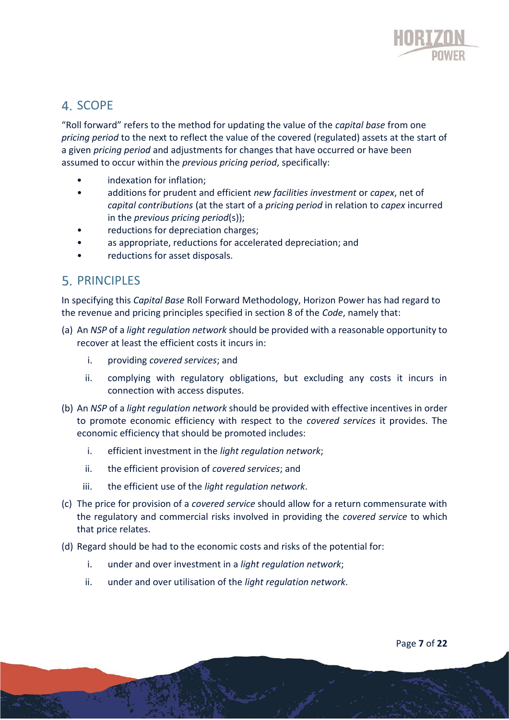

## 4. SCOPE

"Roll forward" refers to the method for updating the value of the *capital base* from one *pricing period* to the next to reflect the value of the covered (regulated) assets at the start of a given *pricing period* and adjustments for changes that have occurred or have been assumed to occur within the *previous pricing period*, specifically:

- indexation for inflation:
- additions for prudent and efficient *new facilities investment* or *capex*, net of *capital contributions* (at the start of a *pricing period* in relation to *capex* incurred in the *previous pricing period*(s));
- reductions for depreciation charges;
- as appropriate, reductions for accelerated depreciation; and
- reductions for asset disposals.

### **5. PRINCIPLES**

In specifying this *Capital Base* Roll Forward Methodology, Horizon Power has had regard to the revenue and pricing principles specified in section 8 of the *Code*, namely that:

- (a) An *NSP* of a *light regulation network* should be provided with a reasonable opportunity to recover at least the efficient costs it incurs in:
	- i. providing *covered services*; and
	- ii. complying with regulatory obligations, but excluding any costs it incurs in connection with access disputes.
- (b) An *NSP* of a *light regulation network* should be provided with effective incentives in order to promote economic efficiency with respect to the *covered services* it provides. The economic efficiency that should be promoted includes:
	- i. efficient investment in the *light regulation network*;
	- ii. the efficient provision of *covered services*; and
	- iii. the efficient use of the *light regulation network*.
- (c) The price for provision of a *covered service* should allow for a return commensurate with the regulatory and commercial risks involved in providing the *covered service* to which that price relates.
- (d) Regard should be had to the economic costs and risks of the potential for:
	- i. under and over investment in a *light regulation network*;
	- ii. under and over utilisation of the *light regulation network*.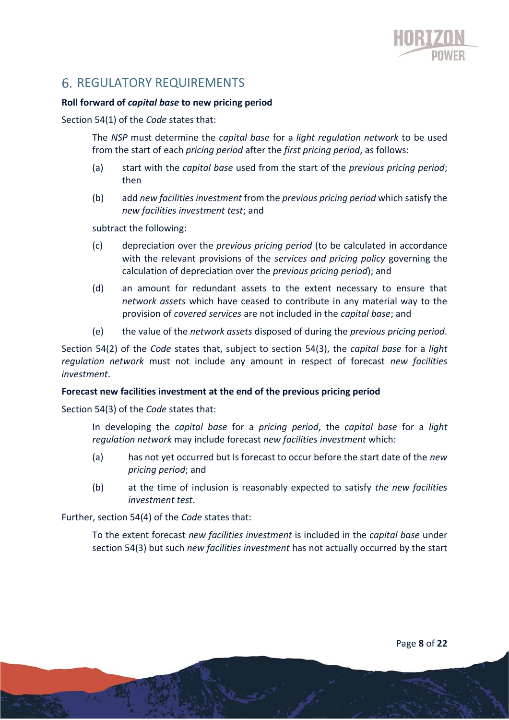

## **6. REGULATORY REQUIREMENTS**

#### **Roll forward of** *capital base* **to new pricing period**

Section 54(1) of the *Code* states that:

The *NSP* must determine the *capital base* for a *light regulation network* to be used from the start of each *pricing period* after the *first pricing period*, as follows:

- (a) start with the *capital base* used from the start of the *previous pricing period*; then
- (b) add *new facilities investment* from the *previous pricing period* which satisfy the *new facilities investment test*; and

subtract the following:

- (c) depreciation over the *previous pricing period* (to be calculated in accordance with the relevant provisions of the *services and pricing policy* governing the calculation of depreciation over the *previous pricing period*); and
- (d) an amount for redundant assets to the extent necessary to ensure that *network assets* which have ceased to contribute in any material way to the provision of *covered services* are not included in the *capital base*; and
- (e) the value of the *network assets* disposed of during the *previous pricing period*.

Section 54(2) of the *Code* states that, subject to section 54(3), the *capital base* for a *light regulation network* must not include any amount in respect of forecast *new facilities investment*.

#### **Forecast new facilities investment at the end of the previous pricing period**

Section 54(3) of the *Code* states that:

In developing the *capital base* for a *pricing period*, the *capital base* for a *light regulation network* may include forecast *new facilities investment* which:

- (a) has not yet occurred but Is forecast to occur before the start date of the *new pricing period*; and
- (b) at the time of inclusion is reasonably expected to satisfy *the new facilities investment test*.

Further, section 54(4) of the *Code* states that:

To the extent forecast *new facilities investment* is included in the *capital base* under section 54(3) but such *new facilities investment* has not actually occurred by the start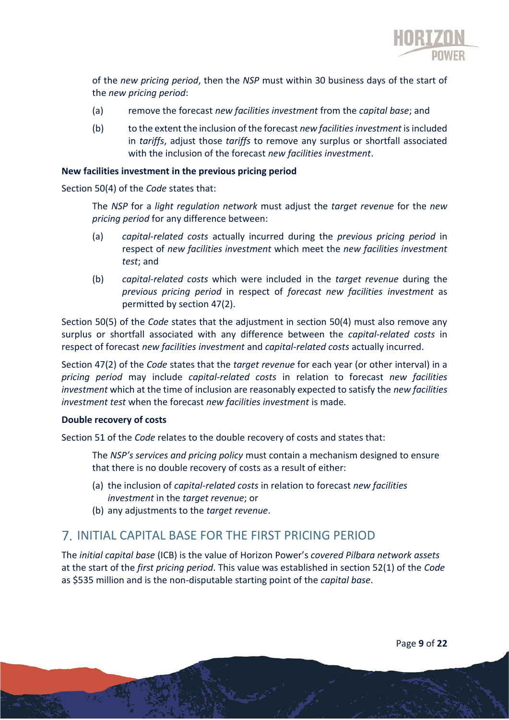

of the *new pricing period*, then the *NSP* must within 30 business days of the start of the *new pricing period*:

- (a) remove the forecast *new facilities investment* from the *capital base*; and
- (b) to the extent the inclusion of the forecast *new facilities investment* is included in *tariffs*, adjust those *tariffs* to remove any surplus or shortfall associated with the inclusion of the forecast *new facilities investment*.

#### **New facilities investment in the previous pricing period**

Section 50(4) of the *Code* states that:

The *NSP* for a *light regulation network* must adjust the *target revenue* for the *new pricing period* for any difference between:

- (a) *capital-related costs* actually incurred during the *previous pricing period* in respect of *new facilities investment* which meet the *new facilities investment test*; and
- (b) *capital-related costs* which were included in the *target revenue* during the *previous pricing period* in respect of *forecast new facilities investment* as permitted by section 47(2).

Section 50(5) of the *Code* states that the adjustment in section 50(4) must also remove any surplus or shortfall associated with any difference between the *capital-related costs* in respect of forecast *new facilities investment* and *capital-related costs* actually incurred.

Section 47(2) of the *Code* states that the *target revenue* for each year (or other interval) in a *pricing period* may include *capital-related costs* in relation to forecast *new facilities investment* which at the time of inclusion are reasonably expected to satisfy the *new facilities investment test* when the forecast *new facilities investment* is made.

#### **Double recovery of costs**

Section 51 of the *Code* relates to the double recovery of costs and states that:

The *NSP's services and pricing policy* must contain a mechanism designed to ensure that there is no double recovery of costs as a result of either:

- (a) the inclusion of *capital-related costs* in relation to forecast *new facilities investment* in the *target revenue*; or
- (b) any adjustments to the *target revenue*.

## INITIAL CAPITAL BASE FOR THE FIRST PRICING PERIOD

The *initial capital base* (ICB) is the value of Horizon Power's *covered Pilbara network assets* at the start of the *first pricing period*. This value was established in section 52(1) of the *Code* as \$535 million and is the non-disputable starting point of the *capital base*.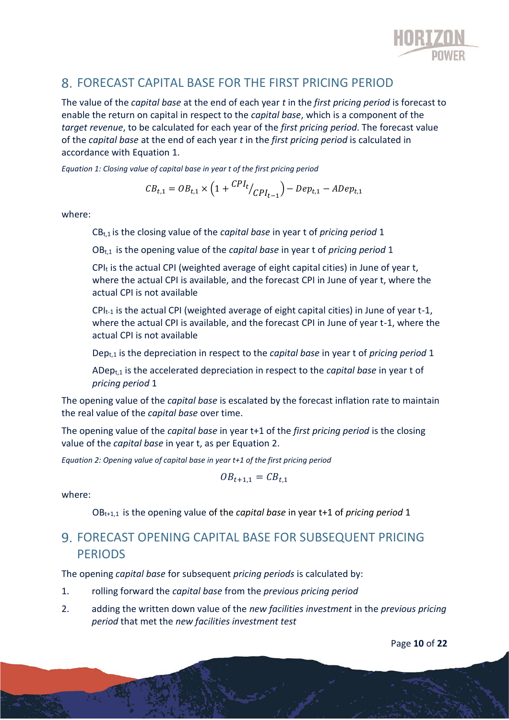

## FORECAST CAPITAL BASE FOR THE FIRST PRICING PERIOD

The value of the *capital base* at the end of each year *t* in the *first pricing period* is forecast to enable the return on capital in respect to the *capital base*, which is a component of the *target revenue*, to be calculated for each year of the *first pricing period*. The forecast value of the *capital base* at the end of each year *t* in the *first pricing period* is calculated in accordance with Equation 1.

*Equation 1: Closing value of capital base in year t of the first pricing period*

$$
CB_{t,1} = OB_{t,1} \times \left(1 + \frac{CPI_t}{CPI_{t-1}}\right) - Dep_{t,1} - ADep_{t,1}
$$

where:

CBt,1 is the closing value of the *capital base* in year t of *pricing period* 1

OBt,1 is the opening value of the *capital base* in year t of *pricing period* 1

 $CPI_t$  is the actual CPI (weighted average of eight capital cities) in June of year t, where the actual CPI is available, and the forecast CPI in June of year t, where the actual CPI is not available

 $CPI_{t-1}$  is the actual CPI (weighted average of eight capital cities) in June of year t-1, where the actual CPI is available, and the forecast CPI in June of year t-1, where the actual CPI is not available

Dept,1 is the depreciation in respect to the *capital base* in year t of *pricing period* 1

ADept,1 is the accelerated depreciation in respect to the *capital base* in year t of *pricing period* 1

The opening value of the *capital base* is escalated by the forecast inflation rate to maintain the real value of the *capital base* over time.

The opening value of the *capital base* in year t+1 of the *first pricing period* is the closing value of the *capital base* in year t, as per Equation 2.

*Equation 2: Opening value of capital base in year t+1 of the first pricing period*

$$
OB_{t+1,1} = CB_{t,1}
$$

where:

OBt+1,1 is the opening value of the *capital base* in year t+1 of *pricing period* 1

## FORECAST OPENING CAPITAL BASE FOR SUBSEQUENT PRICING PERIODS

The opening *capital base* for subsequent *pricing periods* is calculated by:

- 1. rolling forward the *capital base* from the *previous pricing period*
- 2. adding the written down value of the *new facilities investment* in the *previous pricing period* that met the *new facilities investment test*

Page **10** of **22**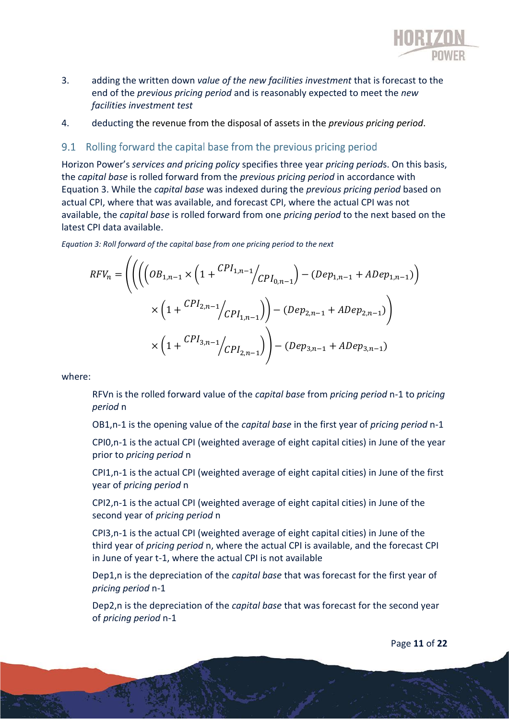

- 3. adding the written down *value of the new facilities investment* that is forecast to the end of the *previous pricing period* and is reasonably expected to meet the *new facilities investment test*
- 4. deducting the revenue from the disposal of assets in the *previous pricing period*.

#### Rolling forward the capital base from the previous pricing period  $9.1$

Horizon Power's *services and pricing policy* specifies three year *pricing period*s. On this basis, the *capital base* is rolled forward from the *previous pricing period* in accordance with Equation 3. While the *capital base* was indexed during the *previous pricing period* based on actual CPI, where that was available, and forecast CPI, where the actual CPI was not available, the *capital base* is rolled forward from one *pricing period* to the next based on the latest CPI data available.

*Equation 3: Roll forward of the capital base from one pricing period to the next*

$$
RFV_n = \left( \left( \left( \left( OB_{1,n-1} \times \left( 1 + \frac{CPI_{1,n-1}}{CPI_{0,n-1}} \right) - (Dep_{1,n-1} + ADep_{1,n-1}) \right) \right) \times \left( 1 + \frac{CPI_{2,n-1}}{CPI_{1,n-1}} \right) \right) - (Dep_{2,n-1} + ADep_{2,n-1}) \right)
$$

$$
\times \left( 1 + \frac{CPI_{3,n-1}}{CPI_{2,n-1}} \right) - (Dep_{3,n-1} + ADep_{3,n-1})
$$

where:

RFVn is the rolled forward value of the *capital base* from *pricing period* n-1 to *pricing period* n

OB1,n-1 is the opening value of the *capital base* in the first year of *pricing period* n-1

CPI0,n-1 is the actual CPI (weighted average of eight capital cities) in June of the year prior to *pricing period* n

CPI1,n-1 is the actual CPI (weighted average of eight capital cities) in June of the first year of *pricing period* n

CPI2,n-1 is the actual CPI (weighted average of eight capital cities) in June of the second year of *pricing period* n

CPI3,n-1 is the actual CPI (weighted average of eight capital cities) in June of the third year of *pricing period* n, where the actual CPI is available, and the forecast CPI in June of year t-1, where the actual CPI is not available

Dep1,n is the depreciation of the *capital base* that was forecast for the first year of *pricing period* n-1

Dep2,n is the depreciation of the *capital base* that was forecast for the second year of *pricing period* n-1

Page **11** of **22**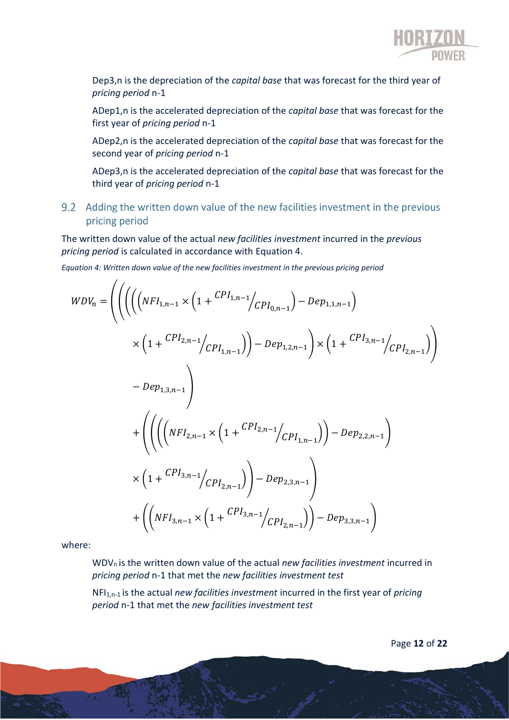

Dep3,n is the depreciation of the *capital base* that was forecast for the third year of *pricing period* n-1

ADep1,n is the accelerated depreciation of the *capital base* that was forecast for the first year of *pricing period* n-1

ADep2,n is the accelerated depreciation of the *capital base* that was forecast for the second year of *pricing period* n-1

ADep3,n is the accelerated depreciation of the *capital base* that was forecast for the third year of *pricing period* n-1

9.2 Adding the written down value of the new facilities investment in the previous pricing period

The written down value of the actual *new facilities investment* incurred in the *previous pricing period* is calculated in accordance with Equation 4.

*Equation 4: Written down value of the new facilities investment in the previous pricing period*

$$
WDV_{n} = \left( \left( \left( \left( NFI_{1,n-1} \times \left( 1 + \frac{CPI_{1,n-1}}{CPI_{0,n-1}} \right) - Dep_{1,1,n-1} \right) \times \left( 1 + \frac{CPI_{2,n-1}}{CPI_{1,n-1}} \right) \right) \right)
$$
  

$$
\times \left( 1 + \frac{CPI_{2,n-1}}{CPI_{1,n-1}} \right) - Dep_{1,2,n-1} \right) \times \left( 1 + \frac{CPI_{3,n-1}}{CPI_{2,n-1}} \right)
$$
  

$$
+ \left( \left( \left( \left( NFI_{2,n-1} \times \left( 1 + \frac{CPI_{2,n-1}}{CPI_{1,n-1}} \right) \right) - Dep_{2,2,n-1} \right) \right) \times \left( 1 + \frac{CPI_{3,n-1}}{CPI_{2,n-1}} \right) - Dep_{2,3,n-1} \right)
$$
  

$$
+ \left( \left( NFI_{3,n-1} \times \left( 1 + \frac{CPI_{3,n-1}}{CPI_{2,n-1}} \right) \right) - Dep_{3,3,n-1} \right)
$$

where:

WDVn is the written down value of the actual *new facilities investment* incurred in *pricing period* n-1 that met the *new facilities investment test*

NFI1,n-1 is the actual *new facilities investment* incurred in the first year of *pricing period* n-1 that met the *new facilities investment test*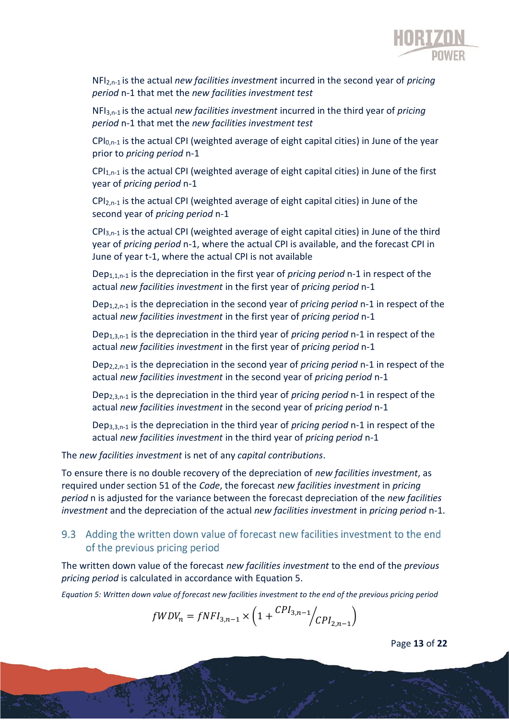

NFI2,n-1 is the actual *new facilities investment* incurred in the second year of *pricing period* n-1 that met the *new facilities investment test*

NFI3,n-1 is the actual *new facilities investment* incurred in the third year of *pricing period* n-1 that met the *new facilities investment test*

 $CPI<sub>0,n-1</sub>$  is the actual CPI (weighted average of eight capital cities) in June of the year prior to *pricing period* n-1

 $CPI<sub>1,n-1</sub>$  is the actual CPI (weighted average of eight capital cities) in June of the first year of *pricing period* n-1

 $CPI<sub>2,n-1</sub>$  is the actual CPI (weighted average of eight capital cities) in June of the second year of *pricing period* n-1

 $CPI<sub>3,n-1</sub>$  is the actual CPI (weighted average of eight capital cities) in June of the third year of *pricing period* n-1, where the actual CPI is available, and the forecast CPI in June of year t-1, where the actual CPI is not available

Dep1,1,n-1 is the depreciation in the first year of *pricing period* n-1 in respect of the actual *new facilities investment* in the first year of *pricing period* n-1

Dep1,2,n-1 is the depreciation in the second year of *pricing period* n-1 in respect of the actual *new facilities investment* in the first year of *pricing period* n-1

Dep1,3,n-1 is the depreciation in the third year of *pricing period* n-1 in respect of the actual *new facilities investment* in the first year of *pricing period* n-1

Dep2,2,n-1 is the depreciation in the second year of *pricing period* n-1 in respect of the actual *new facilities investment* in the second year of *pricing period* n-1

Dep2,3,n-1 is the depreciation in the third year of *pricing period* n-1 in respect of the actual *new facilities investment* in the second year of *pricing period* n-1

Dep3,3,n-1 is the depreciation in the third year of *pricing period* n-1 in respect of the actual *new facilities investment* in the third year of *pricing period* n-1

The *new facilities investment* is net of any *capital contributions*.

To ensure there is no double recovery of the depreciation of *new facilities investment*, as required under section 51 of the *Code*, the forecast *new facilities investment* in *pricing period* n is adjusted for the variance between the forecast depreciation of the *new facilities investment* and the depreciation of the actual *new facilities investment* in *pricing period* n-1.

#### 9.3 Adding the written down value of forecast new facilities investment to the end of the previous pricing period

The written down value of the forecast *new facilities investment* to the end of the *previous pricing period* is calculated in accordance with Equation 5.

*Equation 5: Written down value of forecast new facilities investment to the end of the previous pricing period*

$$
fWDV_n = fNFI_{3,n-1} \times \left(1 + \frac{CPI_{3,n-1}}{CPI_{2,n-1}}\right)
$$

Page **13** of **22**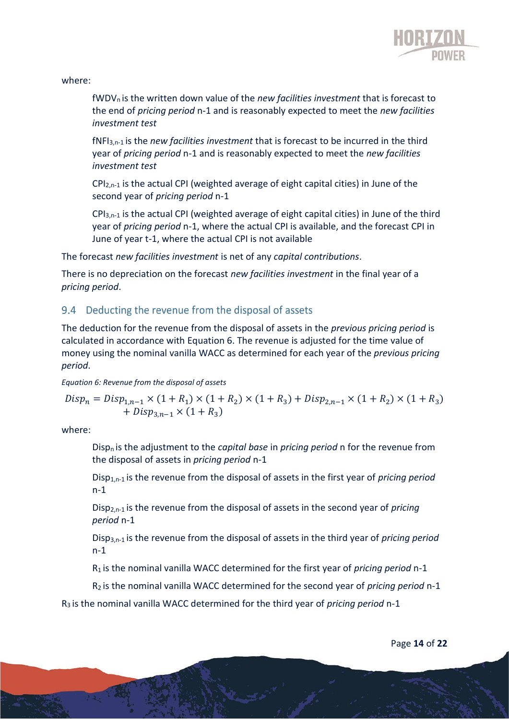

#### where:

fWDVn is the written down value of the *new facilities investment* that is forecast to the end of *pricing period* n-1 and is reasonably expected to meet the *new facilities investment test*

fNFI3,n-1 is the *new facilities investment* that is forecast to be incurred in the third year of *pricing period* n-1 and is reasonably expected to meet the *new facilities investment test*

CPI2,n-1 is the actual CPI (weighted average of eight capital cities) in June of the second year of *pricing period* n-1

 $CPI_{3,n-1}$  is the actual CPI (weighted average of eight capital cities) in June of the third year of *pricing period* n-1, where the actual CPI is available, and the forecast CPI in June of year t-1, where the actual CPI is not available

The forecast *new facilities investment* is net of any *capital contributions*.

There is no depreciation on the forecast *new facilities investment* in the final year of a *pricing period*.

#### 9.4 Deducting the revenue from the disposal of assets

The deduction for the revenue from the disposal of assets in the *previous pricing period* is calculated in accordance with Equation 6. The revenue is adjusted for the time value of money using the nominal vanilla WACC as determined for each year of the *previous pricing period*.

*Equation 6: Revenue from the disposal of assets*

$$
Disp_n = Disp_{1,n-1} \times (1 + R_1) \times (1 + R_2) \times (1 + R_3) + Disp_{2,n-1} \times (1 + R_2) \times (1 + R_3)
$$
  
+  $Disp_{3,n-1} \times (1 + R_3)$ 

where:

Dispn is the adjustment to the *capital base* in *pricing period* n for the revenue from the disposal of assets in *pricing period* n-1

Disp1,n-1 is the revenue from the disposal of assets in the first year of *pricing period* n-1

Disp2,n-1 is the revenue from the disposal of assets in the second year of *pricing period* n-1

Disp3,n-1 is the revenue from the disposal of assets in the third year of *pricing period* n-1

R1 is the nominal vanilla WACC determined for the first year of *pricing period* n-1

R2 is the nominal vanilla WACC determined for the second year of *pricing period* n-1

R3 is the nominal vanilla WACC determined for the third year of *pricing period* n-1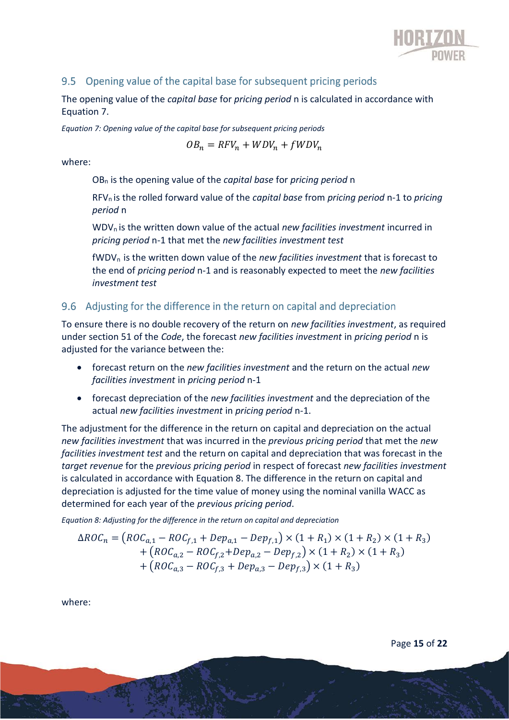

### 9.5 Opening value of the capital base for subsequent pricing periods

The opening value of the *capital base* for *pricing period* n is calculated in accordance with Equation 7.

*Equation 7: Opening value of the capital base for subsequent pricing periods*

$$
OB_n = RFV_n + WDV_n + fWDV_n
$$

where:

OB<sup>n</sup> is the opening value of the *capital base* for *pricing period* n

RFVn is the rolled forward value of the *capital base* from *pricing period* n-1 to *pricing period* n

WDVn is the written down value of the actual *new facilities investment* incurred in *pricing period* n-1 that met the *new facilities investment test*

fWDVn is the written down value of the *new facilities investment* that is forecast to the end of *pricing period* n-1 and is reasonably expected to meet the *new facilities investment test*

### 9.6 Adjusting for the difference in the return on capital and depreciation

To ensure there is no double recovery of the return on *new facilities investment*, as required under section 51 of the *Code*, the forecast *new facilities investment* in *pricing period* n is adjusted for the variance between the:

- forecast return on the *new facilities investment* and the return on the actual *new facilities investment* in *pricing period* n-1
- forecast depreciation of the *new facilities investment* and the depreciation of the actual *new facilities investment* in *pricing period* n-1.

The adjustment for the difference in the return on capital and depreciation on the actual *new facilities investment* that was incurred in the *previous pricing period* that met the *new facilities investment test* and the return on capital and depreciation that was forecast in the *target revenue* for the *previous pricing period* in respect of forecast *new facilities investment* is calculated in accordance with Equation 8. The difference in the return on capital and depreciation is adjusted for the time value of money using the nominal vanilla WACC as determined for each year of the *previous pricing period*.

*Equation 8: Adjusting for the difference in the return on capital and depreciation*

$$
\Delta ROC_n = \left( ROC_{a,1} - ROC_{f,1} + Dep_{a,1} - Dep_{f,1} \right) \times (1 + R_1) \times (1 + R_2) \times (1 + R_3) + \left( ROC_{a,2} - ROC_{f,2} + Dep_{a,2} - Dep_{f,2} \right) \times (1 + R_2) \times (1 + R_3) + \left( ROC_{a,3} - ROC_{f,3} + Dep_{a,3} - Dep_{f,3} \right) \times (1 + R_3)
$$

where: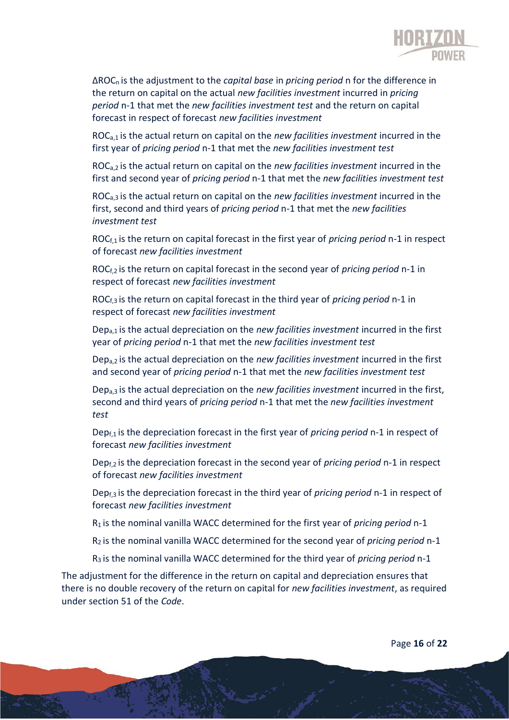

ΔROCn is the adjustment to the *capital base* in *pricing period* n for the difference in the return on capital on the actual *new facilities investment* incurred in *pricing period* n-1 that met the *new facilities investment test* and the return on capital forecast in respect of forecast *new facilities investment*

ROCa,1 is the actual return on capital on the *new facilities investment* incurred in the first year of *pricing period* n-1 that met the *new facilities investment test*

ROCa,2 is the actual return on capital on the *new facilities investment* incurred in the first and second year of *pricing period* n-1 that met the *new facilities investment test*

ROCa,3 is the actual return on capital on the *new facilities investment* incurred in the first, second and third years of *pricing period* n-1 that met the *new facilities investment test*

ROCf,1 is the return on capital forecast in the first year of *pricing period* n-1 in respect of forecast *new facilities investment*

ROCf,2 is the return on capital forecast in the second year of *pricing period* n-1 in respect of forecast *new facilities investment*

ROCf,3 is the return on capital forecast in the third year of *pricing period* n-1 in respect of forecast *new facilities investment*

Depa,1 is the actual depreciation on the *new facilities investment* incurred in the first year of *pricing period* n-1 that met the *new facilities investment test*

Depa,2 is the actual depreciation on the *new facilities investment* incurred in the first and second year of *pricing period* n-1 that met the *new facilities investment test*

Depa,3 is the actual depreciation on the *new facilities investment* incurred in the first, second and third years of *pricing period* n-1 that met the *new facilities investment test*

Depf,1 is the depreciation forecast in the first year of *pricing period* n-1 in respect of forecast *new facilities investment*

Depf,2 is the depreciation forecast in the second year of *pricing period* n-1 in respect of forecast *new facilities investment*

Depf,3 is the depreciation forecast in the third year of *pricing period* n-1 in respect of forecast *new facilities investment*

R1 is the nominal vanilla WACC determined for the first year of *pricing period* n-1

R2 is the nominal vanilla WACC determined for the second year of *pricing period* n-1

R3 is the nominal vanilla WACC determined for the third year of *pricing period* n-1

The adjustment for the difference in the return on capital and depreciation ensures that there is no double recovery of the return on capital for *new facilities investment*, as required under section 51 of the *Code*.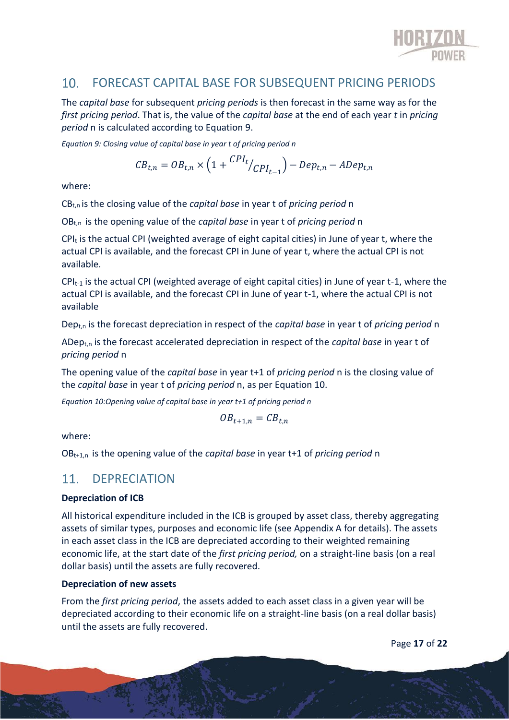

#### FORECAST CAPITAL BASE FOR SUBSEQUENT PRICING PERIODS  $10<sub>1</sub>$

The *capital base* for subsequent *pricing periods* is then forecast in the same way as for the *first pricing period*. That is, the value of the *capital base* at the end of each year *t* in *pricing period* n is calculated according to Equation 9.

*Equation 9: Closing value of capital base in year t of pricing period n*

$$
CB_{t,n} = OB_{t,n} \times \left(1 + \frac{CPI_t}{CPI_{t-1}}\right) - Dep_{t,n} - ADep_{t,n}
$$

where:

CBt,n is the closing value of the *capital base* in year t of *pricing period* n

OBt,n is the opening value of the *capital base* in year t of *pricing period* n

 $CPI<sub>t</sub>$  is the actual CPI (weighted average of eight capital cities) in June of year t, where the actual CPI is available, and the forecast CPI in June of year t, where the actual CPI is not available.

 $CPI_{t-1}$  is the actual CPI (weighted average of eight capital cities) in June of year t-1, where the actual CPI is available, and the forecast CPI in June of year t-1, where the actual CPI is not available

Dept,n is the forecast depreciation in respect of the *capital base* in year t of *pricing period* n

ADept,n is the forecast accelerated depreciation in respect of the *capital base* in year t of *pricing period* n

The opening value of the *capital base* in year t+1 of *pricing period* n is the closing value of the *capital base* in year t of *pricing period* n, as per Equation 10.

*Equation 10:Opening value of capital base in year t+1 of pricing period n*

$$
OB_{t+1,n} = CB_{t,n}
$$

where:

OBt+1,n is the opening value of the *capital base* in year t+1 of *pricing period* n

#### $11.$ **DEPRECIATION**

#### **Depreciation of ICB**

All historical expenditure included in the ICB is grouped by asset class, thereby aggregating assets of similar types, purposes and economic life (see Appendix A for details). The assets in each asset class in the ICB are depreciated according to their weighted remaining economic life, at the start date of the *first pricing period,* on a straight-line basis (on a real dollar basis) until the assets are fully recovered.

#### **Depreciation of new assets**

From the *first pricing period*, the assets added to each asset class in a given year will be depreciated according to their economic life on a straight-line basis (on a real dollar basis) until the assets are fully recovered.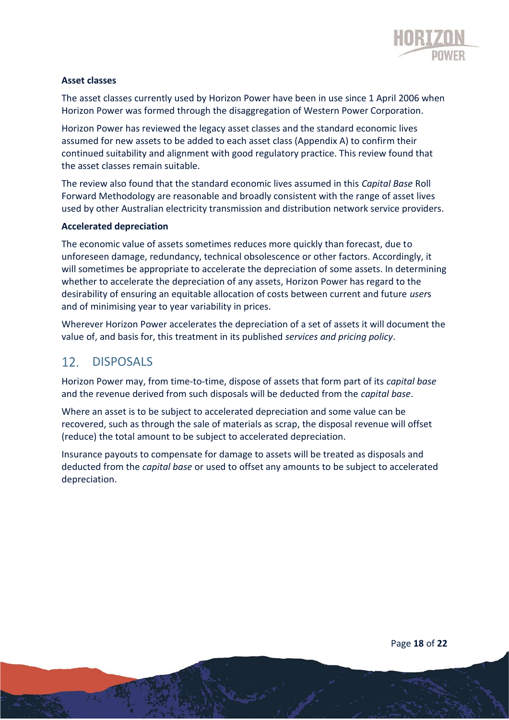

#### **Asset classes**

The asset classes currently used by Horizon Power have been in use since 1 April 2006 when Horizon Power was formed through the disaggregation of Western Power Corporation.

Horizon Power has reviewed the legacy asset classes and the standard economic lives assumed for new assets to be added to each asset class (Appendix A) to confirm their continued suitability and alignment with good regulatory practice. This review found that the asset classes remain suitable.

The review also found that the standard economic lives assumed in this *Capital Base* Roll Forward Methodology are reasonable and broadly consistent with the range of asset lives used by other Australian electricity transmission and distribution network service providers.

#### **Accelerated depreciation**

The economic value of assets sometimes reduces more quickly than forecast, due to unforeseen damage, redundancy, technical obsolescence or other factors. Accordingly, it will sometimes be appropriate to accelerate the depreciation of some assets. In determining whether to accelerate the depreciation of any assets, Horizon Power has regard to the desirability of ensuring an equitable allocation of costs between current and future *user*s and of minimising year to year variability in prices.

Wherever Horizon Power accelerates the depreciation of a set of assets it will document the value of, and basis for, this treatment in its published *services and pricing policy*.

#### DISPOSALS  $12.$

Horizon Power may, from time-to-time, dispose of assets that form part of its *capital base* and the revenue derived from such disposals will be deducted from the *capital base*.

Where an asset is to be subject to accelerated depreciation and some value can be recovered, such as through the sale of materials as scrap, the disposal revenue will offset (reduce) the total amount to be subject to accelerated depreciation.

Insurance payouts to compensate for damage to assets will be treated as disposals and deducted from the *capital base* or used to offset any amounts to be subject to accelerated depreciation.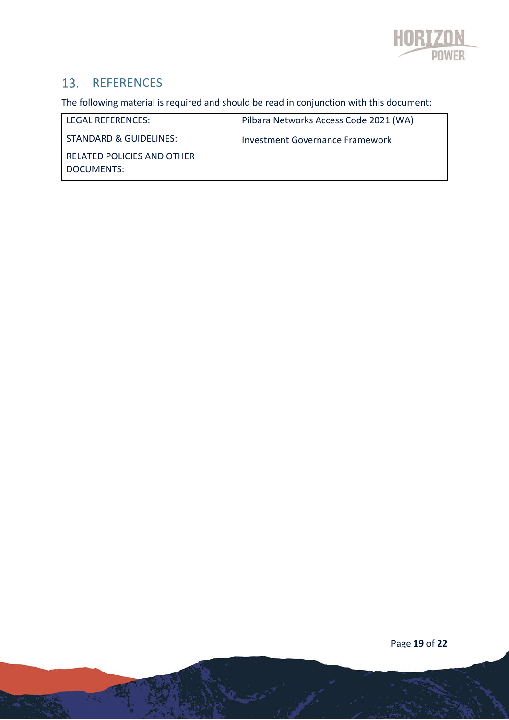

## 13. REFERENCES

The following material is required and should be read in conjunction with this document:

| LEGAL REFERENCES:                        | Pilbara Networks Access Code 2021 (WA) |
|------------------------------------------|----------------------------------------|
| <b>STANDARD &amp; GUIDELINES:</b>        | <b>Investment Governance Framework</b> |
| RELATED POLICIES AND OTHER<br>DOCUMENTS: |                                        |

Page **19** of **22**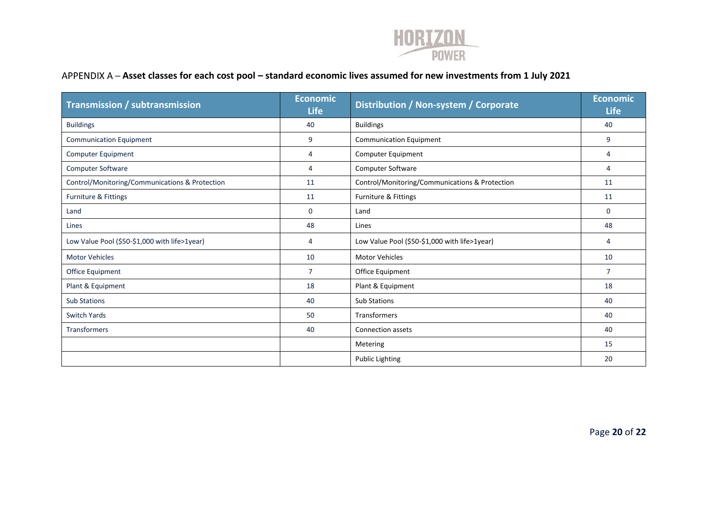

### **Asset classes for each cost pool – standard economic lives assumed for new investments from 1 July 2021**

| <b>Transmission / subtransmission</b>          | <b>Economic</b><br><b>Life</b> | Distribution / Non-system / Corporate          | <b>Economic</b><br><b>Life</b> |
|------------------------------------------------|--------------------------------|------------------------------------------------|--------------------------------|
| <b>Buildings</b>                               | 40                             | <b>Buildings</b>                               | 40                             |
| <b>Communication Equipment</b>                 | 9                              | <b>Communication Equipment</b>                 | 9                              |
| Computer Equipment                             | 4                              | Computer Equipment                             | 4                              |
| <b>Computer Software</b>                       | 4                              | Computer Software                              | 4                              |
| Control/Monitoring/Communications & Protection | 11                             | Control/Monitoring/Communications & Protection | 11                             |
| Furniture & Fittings                           | 11                             | Furniture & Fittings                           | 11                             |
| Land                                           | $\Omega$                       | Land                                           | $\Omega$                       |
| Lines                                          | 48                             | Lines                                          | 48                             |
| Low Value Pool (\$50-\$1,000 with life>1year)  | 4                              | Low Value Pool (\$50-\$1,000 with life>1year)  | 4                              |
| <b>Motor Vehicles</b>                          | 10                             | <b>Motor Vehicles</b>                          | 10                             |
| Office Equipment                               | $\overline{7}$                 | Office Equipment                               | $\overline{7}$                 |
| Plant & Equipment                              | 18                             | Plant & Equipment                              | 18                             |
| <b>Sub Stations</b>                            | 40                             | <b>Sub Stations</b>                            | 40                             |
| <b>Switch Yards</b>                            | 50                             | Transformers                                   | 40                             |
| <b>Transformers</b>                            | 40                             | <b>Connection assets</b>                       | 40                             |
|                                                |                                | Metering                                       | 15                             |
|                                                |                                | <b>Public Lighting</b>                         | 20                             |

Page **20** of **22**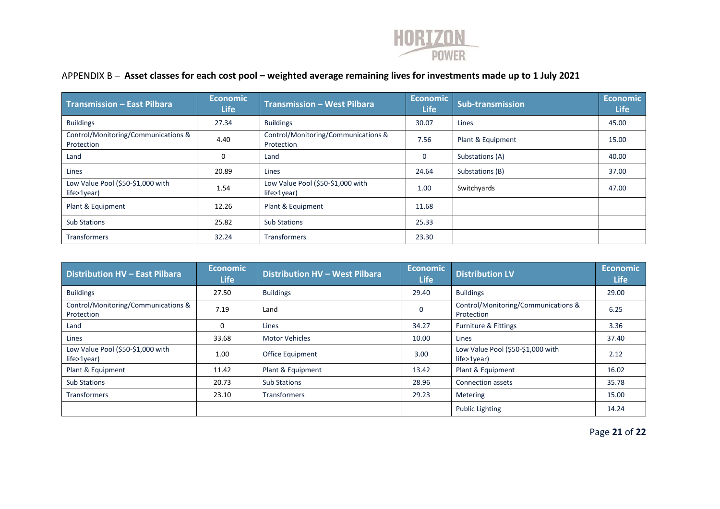

### **Asset classes for each cost pool – weighted average remaining lives for investments made up to 1 July 2021**

| <b>Transmission - East Pilbara</b>                    | <b>Economic</b><br><b>Life</b> | <b>Transmission - West Pilbara</b>                    | Economic<br><b>Life</b> | <b>Sub-transmission</b> | <b>Economic</b><br><b>Life</b> |
|-------------------------------------------------------|--------------------------------|-------------------------------------------------------|-------------------------|-------------------------|--------------------------------|
| <b>Buildings</b>                                      | 27.34                          | <b>Buildings</b>                                      | 30.07                   | Lines                   | 45.00                          |
| Control/Monitoring/Communications &<br>Protection     | 4.40                           | Control/Monitoring/Communications &<br>Protection     | 7.56                    | Plant & Equipment       | 15.00                          |
| Land                                                  | 0                              | Land                                                  | 0                       | Substations (A)         | 40.00                          |
| Lines                                                 | 20.89                          | Lines                                                 | 24.64                   | Substations (B)         | 37.00                          |
| Low Value Pool (\$50-\$1,000 with<br>$life > 1$ year) | 1.54                           | Low Value Pool (\$50-\$1,000 with<br>$life > 1$ year) | 1.00                    | Switchyards             | 47.00                          |
| Plant & Equipment                                     | 12.26                          | Plant & Equipment                                     | 11.68                   |                         |                                |
| <b>Sub Stations</b>                                   | 25.82                          | <b>Sub Stations</b>                                   | 25.33                   |                         |                                |
| <b>Transformers</b>                                   | 32.24                          | <b>Transformers</b>                                   | 23.30                   |                         |                                |

| <b>Distribution HV - East Pilbara</b>                 | <b>Economic</b><br><b>Life</b> | Distribution HV - West Pilbara | <b>Economic</b><br><b>Life</b> | <b>Distribution LV</b>                                | <b>Economic</b><br><b>Life</b> |
|-------------------------------------------------------|--------------------------------|--------------------------------|--------------------------------|-------------------------------------------------------|--------------------------------|
| <b>Buildings</b>                                      | 27.50                          | <b>Buildings</b>               | 29.40                          | <b>Buildings</b>                                      | 29.00                          |
| Control/Monitoring/Communications &<br>Protection     | 7.19                           | Land                           |                                | Control/Monitoring/Communications &<br>Protection     | 6.25                           |
| Land                                                  | 0                              | Lines                          | 34.27                          | <b>Furniture &amp; Fittings</b>                       | 3.36                           |
| Lines                                                 | 33.68                          | <b>Motor Vehicles</b>          | 10.00                          | Lines                                                 | 37.40                          |
| Low Value Pool (\$50-\$1,000 with<br>$life > 1$ year) | 1.00                           | <b>Office Equipment</b>        | 3.00                           | Low Value Pool (\$50-\$1,000 with<br>$life > 1$ year) | 2.12                           |
| Plant & Equipment                                     | 11.42                          | Plant & Equipment              | 13.42                          | Plant & Equipment                                     | 16.02                          |
| <b>Sub Stations</b>                                   | 20.73                          | <b>Sub Stations</b>            | 28.96                          | <b>Connection assets</b>                              | 35.78                          |
| <b>Transformers</b>                                   | 23.10                          | Transformers                   | 29.23                          | <b>Metering</b>                                       | 15.00                          |
|                                                       |                                |                                |                                | <b>Public Lighting</b>                                | 14.24                          |

Page **21** of **22**